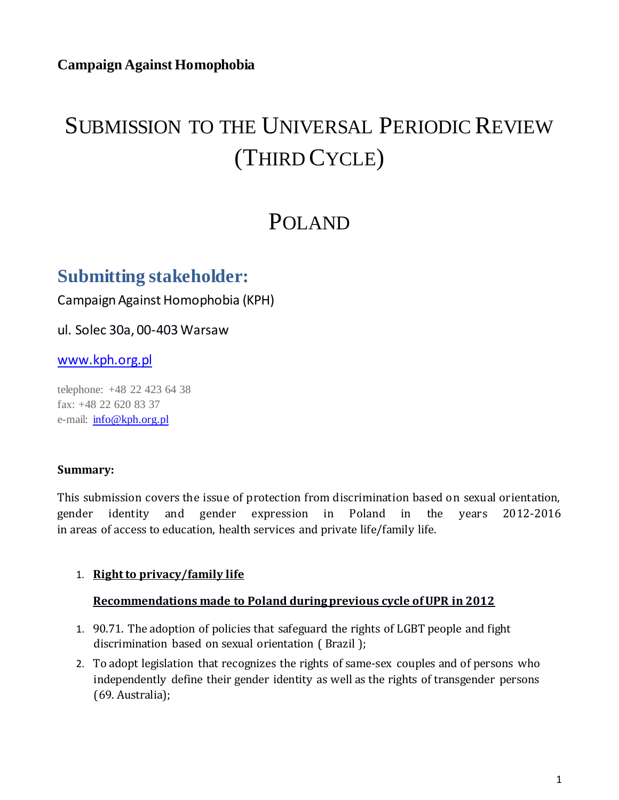# SUBMISSION TO THE UNIVERSAL PERIODIC REVIEW (THIRD CYCLE)

## POLAND

### **Submitting stakeholder:**

Campaign Against Homophobia (KPH)

ul. Solec 30a, 00-403 Warsaw

#### www.kph.org.pl

telephone: +48 22 423 64 38 fax: +48 22 620 83 37 e-mail: info@kph.org.pl

#### **Summary:**

This submission covers the issue of protection from discrimination based on sexual orientation, gender identity and gender expression in Poland in the years 2012-2016 in areas of access to education, health services and private life/family life.

#### 1. **Right to privacy/family life**

#### **Recommendations made to Poland during previous cycle of UPR in 2012**

- 1. 90.71. The adoption of policies that safeguard the rights of LGBT people and fight discrimination based on sexual orientation ( Brazil );
- 2. To adopt legislation that recognizes the rights of same-sex couples and of persons who independently define their gender identity as well as the rights of transgender persons (69. Australia);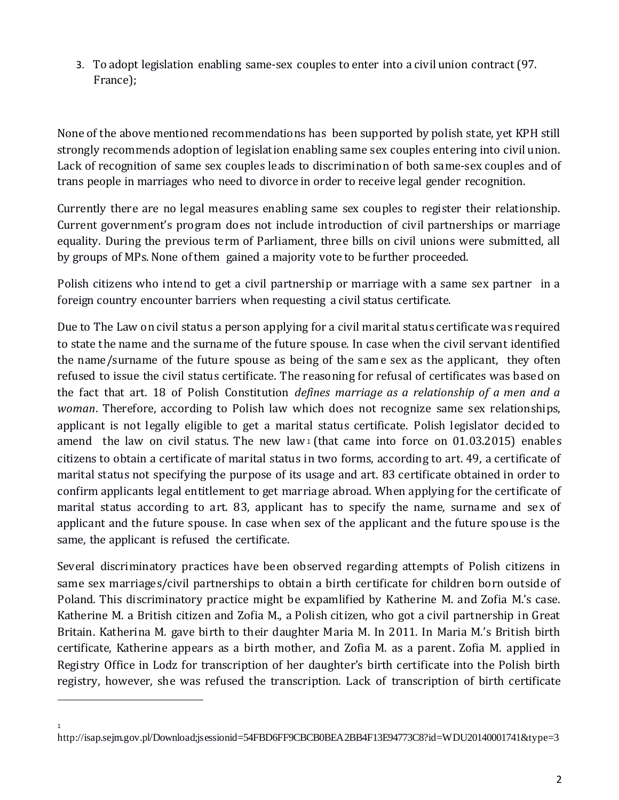3. To adopt legislation enabling same-sex couples to enter into a civil union contract (97. France);

None of the above mentioned recommendations has been supported by polish state, yet KPH still strongly recommends adoption of legislation enabling same sex couples entering into civil union. Lack of recognition of same sex couples leads to discrimination of both same-sex couples and of trans people in marriages who need to divorce in order to receive legal gender recognition.

Currently there are no legal measures enabling same sex couples to register their relationship. Current government's program does not include introduction of civil partnerships or marriage equality. During the previous term of Parliament, three bills on civil unions were submitted, all by groups of MPs. None of them gained a majority vote to be further proceeded.

Polish citizens who intend to get a civil partnership or marriage with a same sex partner in a foreign country encounter barriers when requesting a civil status certificate.

Due to The Law on civil status a person applying for a civil marital status certificate was required to state the name and the surname of the future spouse. In case when the civil servant identified the name/surname of the future spouse as being of the same sex as the applicant, they often refused to issue the civil status certificate. The reasoning for refusal of certificates was based on the fact that art. 18 of Polish Constitution *defines marriage as a relationship of a men and a woman*. Therefore, according to Polish law which does not recognize same sex relationships, applicant is not legally eligible to get a marital status certificate. Polish legislator decided to amend the law on civil status. The new law<sub>1</sub> (that came into force on  $01.03.2015$ ) enables citizens to obtain a certificate of marital status in two forms, according to art. 49, a certificate of marital status not specifying the purpose of its usage and art. 83 certificate obtained in order to confirm applicants legal entitlement to get marriage abroad. When applying for the certificate of marital status according to art. 83, applicant has to specify the name, surname and sex of applicant and the future spouse. In case when sex of the applicant and the future spouse is the same, the applicant is refused the certificate.

Several discriminatory practices have been observed regarding attempts of Polish citizens in same sex marriages/civil partnerships to obtain a birth certificate for children born outside of Poland. This discriminatory practice might be expamlified by Katherine M. and Zofia M.'s case. Katherine M. a British citizen and Zofia M., a Polish citizen, who got a civil partnership in Great Britain. Katherina M. gave birth to their daughter Maria M. In 2011. In Maria M.'s British birth certificate, Katherine appears as a birth mother, and Zofia M. as a parent. Zofia M. applied in Registry Office in Lodz for transcription of her daughter's birth certificate into the Polish birth registry, however, she was refused the transcription. Lack of transcription of birth certificate

l

1

http://isap.sejm.gov.pl/Download;jsessionid=54FBD6FF9CBCB0BEA2BB4F13E94773C8?id=WDU20140001741&type=3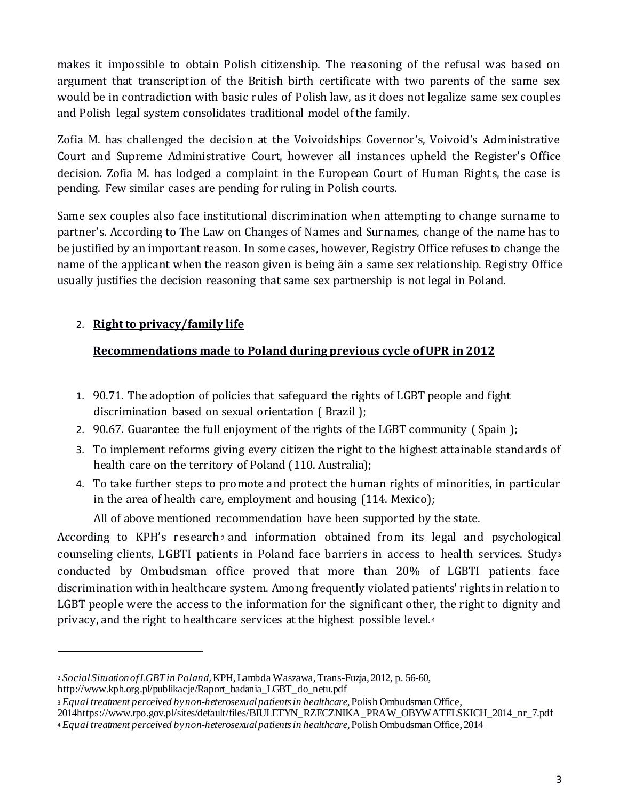makes it impossible to obtain Polish citizenship. The reasoning of the refusal was based on argument that transcription of the British birth certificate with two parents of the same sex would be in contradiction with basic rules of Polish law, as it does not legalize same sex couples and Polish legal system consolidates traditional model of the family.

Zofia M. has challenged the decision at the Voivoidships Governor's, Voivoid's Administrative Court and Supreme Administrative Court, however all instances upheld the Register's Office decision. Zofia M. has lodged a complaint in the European Court of Human Rights, the case is pending. Few similar cases are pending for ruling in Polish courts.

Same sex couples also face institutional discrimination when attempting to change surname to partner's. According to The Law on Changes of Names and Surnames, change of the name has to be justified by an important reason. In some cases, however, Registry Office refuses to change the name of the applicant when the reason given is being äin a same sex relationship. Registry Office usually justifies the decision reasoning that same sex partnership is not legal in Poland.

#### 2. **Right to privacy/family life**

l

#### **Recommendations made to Poland during previous cycle of UPR in 2012**

- 1. 90.71. The adoption of policies that safeguard the rights of LGBT people and fight discrimination based on sexual orientation ( Brazil );
- 2. 90.67. Guarantee the full enjoyment of the rights of the LGBT community ( Spain );
- 3. To implement reforms giving every citizen the right to the highest attainable standards of health care on the territory of Poland (110. Australia);
- 4. To take further steps to promote and protect the human rights of minorities, in particular in the area of health care, employment and housing (114. Mexico);

All of above mentioned recommendation have been supported by the state.

According to KPH's research <sup>2</sup> and information obtained from its legal and psychological counseling clients, LGBTI patients in Poland face barriers in access to health services. Study<sup>3</sup> conducted by Ombudsman office proved that more than 20% of LGBTI patients face discrimination within healthcare system. Among frequently violated patients' rights in relation to LGBT people were the access to the information for the significant other, the right to dignity and privacy, and the right to healthcare services at the highest possible level.<sup>4</sup>

<sup>2</sup> *Social Situation of LGBT in Poland*, KPH, Lambda Waszawa, Trans-Fuzja, 2012, p. 56-60, http://www.kph.org.pl/publikacje/Raport\_badania\_LGBT\_do\_netu.pdf

<sup>3</sup>*Equal treatment perceived by non-heterosexual patients in healthcare*, Polish Ombudsman Office,

<sup>2014</sup>https://www.rpo.gov.pl/sites/default/files/BIULETYN\_RZECZNIKA\_PRAW\_OBYWATELSKICH\_2014\_nr\_7.pdf

<sup>4</sup>*Equal treatment perceived by non-heterosexual patients in healthcare*, Polish Ombudsman Office, 2014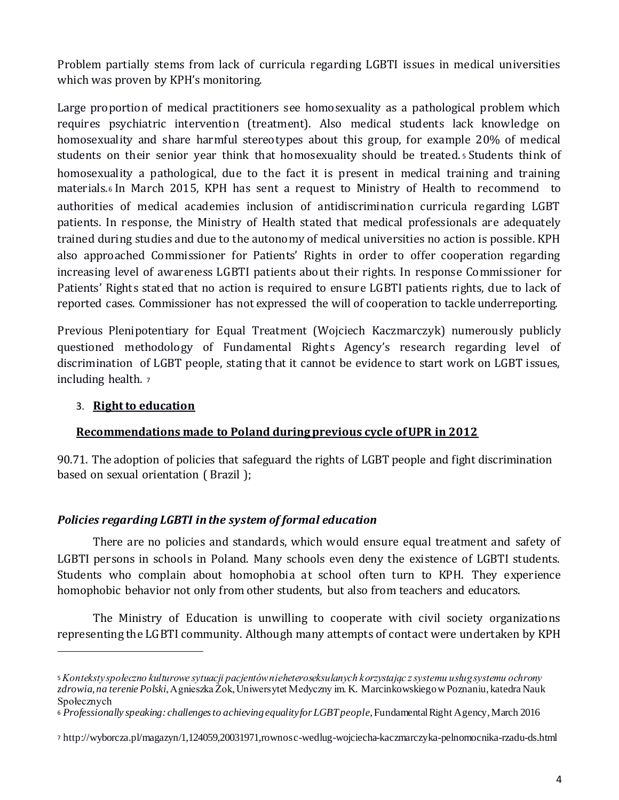Problem partially stems from lack of curricula regarding LGBTI issues in medical universities which was proven by KPH's monitoring.

Large proportion of medical practitioners see homosexuality as a pathological problem which requires psychiatric intervention (treatment). Also medical students lack knowledge on homosexuality and share harmful stereotypes about this group, for example 20% of medical students on their senior year think that homosexuality should be treated. <sup>5</sup> Students think of homosexuality a pathological, due to the fact it is present in medical training and training materials.<sup>6</sup> In March 2015, KPH has sent a request to Ministry of Health to recommend to authorities of medical academies inclusion of antidiscrimination curricula regarding LGBT patients. In response, the Ministry of Health stated that medical professionals are adequately trained during studies and due to the autonomy of medical universities no action is possible. KPH also approached Commissioner for Patients' Rights in order to offer cooperation regarding increasing level of awareness LGBTI patients about their rights. In response Commissioner for Patients' Rights stated that no action is required to ensure LGBTI patients rights, due to lack of reported cases. Commissioner has not expressed the will of cooperation to tackle underreporting.

Previous Plenipotentiary for Equal Treatment (Wojciech Kaczmarczyk) numerously publicly questioned methodology of Fundamental Rights Agency's research regarding level of discrimination of LGBT people, stating that it cannot be evidence to start work on LGBT issues, including health. <sup>7</sup>

#### 3. **Right to education**

l

#### **Recommendations made to Poland during previous cycle of UPR in 2012**

90.71. The adoption of policies that safeguard the rights of LGBT people and fight discrimination based on sexual orientation ( Brazil );

#### *Policies regarding LGBTI in the system of formal education*

There are no policies and standards, which would ensure equal treatment and safety of LGBTI persons in schools in Poland. Many schools even deny the existence of LGBTI students. Students who complain about homophobia at school often turn to KPH. They experience homophobic behavior not only from other students, but also from teachers and educators.

The Ministry of Education is unwilling to cooperate with civil society organizations representing the LGBTI community. Although many attempts of contact were undertaken by KPH

<sup>5</sup>*Konteksty społeczno kulturowe sytuacji pacjentów nieheteroseksulanych korzystając z systemu usług systemu ochrony zdrowia, na terenie Polski*, Agnieszka Żok, Uniwersytet Medyczny im. K. Marcinkowskiego w Poznaniu, katedra Nauk Społecznych

<sup>6</sup> *Professionally speaking: challenges to achieving equality for LGBT people*, Fundamental Right Agency, March 2016

<sup>7</sup> http://wyborcza.pl/magazyn/1,124059,20031971,rownosc-wedlug-wojciecha-kaczmarczyka-pelnomocnika-rzadu-ds.html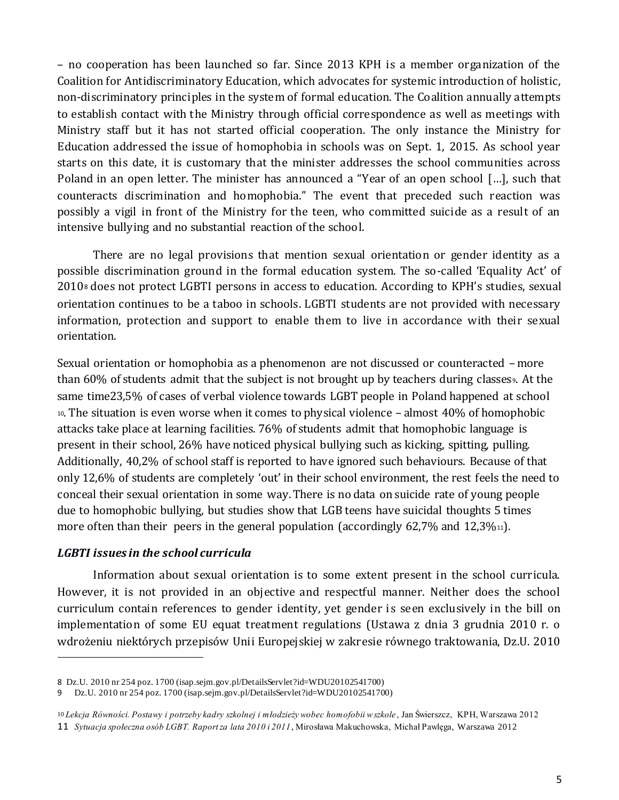– no cooperation has been launched so far. Since 2013 KPH is a member organization of the Coalition for Antidiscriminatory Education, which advocates for systemic introduction of holistic, non-discriminatory principles in the system of formal education. The Coalition annually attempts to establish contact with the Ministry through official correspondence as well as meetings with Ministry staff but it has not started official cooperation. The only instance the Ministry for Education addressed the issue of homophobia in schools was on Sept. 1, 2015. As school year starts on this date, it is customary that the minister addresses the school communities across Poland in an open letter. The minister has announced a "Year of an open school […], such that counteracts discrimination and homophobia." The event that preceded such reaction was possibly a vigil in front of the Ministry for the teen, who committed suicide as a result of an intensive bullying and no substantial reaction of the school.

There are no legal provisions that mention sexual orientation or gender identity as a possible discrimination ground in the formal education system. The so-called 'Equality Act' of 2010<sup>8</sup> does not protect LGBTI persons in access to education. According to KPH's studies, sexual orientation continues to be a taboo in schools. LGBTI students are not provided with necessary information, protection and support to enable them to live in accordance with their sexual orientation.

Sexual orientation or homophobia as a phenomenon are not discussed or counteracted – more than  $60\%$  of students admit that the subject is not brought up by teachers during classes. At the same time23,5% of cases of verbal violence towards LGBT people in Poland happened at school <sup>10</sup>. The situation is even worse when it comes to physical violence – almost 40% of homophobic attacks take place at learning facilities. 76% of students admit that homophobic language is present in their school, 26% have noticed physical bullying such as kicking, spitting, pulling. Additionally, 40,2% of school staff is reported to have ignored such behaviours. Because of that only 12,6% of students are completely 'out' in their school environment, the rest feels the need to conceal their sexual orientation in some way. There is no data on suicide rate of young people due to homophobic bullying, but studies show that LGB teens have suicidal thoughts 5 times more often than their peers in the general population (accordingly  $62,7\%$  and  $12,3\%$ <sup>11</sup>).

#### *LGBTI issues in the school curricula*

l

Information about sexual orientation is to some extent present in the school curricula. However, it is not provided in an objective and respectful manner. Neither does the school curriculum contain references to gender identity, yet gender is seen exclusively in the bill on implementation of some EU equat treatment regulations (Ustawa z dnia 3 grudnia 2010 r. o wdrożeniu niektórych przepisów Unii Europejskiej w zakresie równego traktowania, Dz.U. 2010

<sup>8</sup> Dz.U. 2010 nr 254 poz. 1700 (isap.sejm.gov.pl/DetailsServlet?id=WDU20102541700)

<sup>9</sup> Dz.U. 2010 nr 254 poz. 1700 (isap.sejm.gov.pl/DetailsServlet?id=WDU20102541700)

<sup>10</sup> *Lekcja Równości. Postawy i potrzeby kadry szkolnej i młodzieży wobec homofobii w szkole*, Jan Świerszcz, KPH, Warszawa 2012 11 *Sytuacja społeczna osób LGBT. Raport za lata 2010 i 2011*, Mirosława Makuchowska, Michał Pawlęga, Warszawa 2012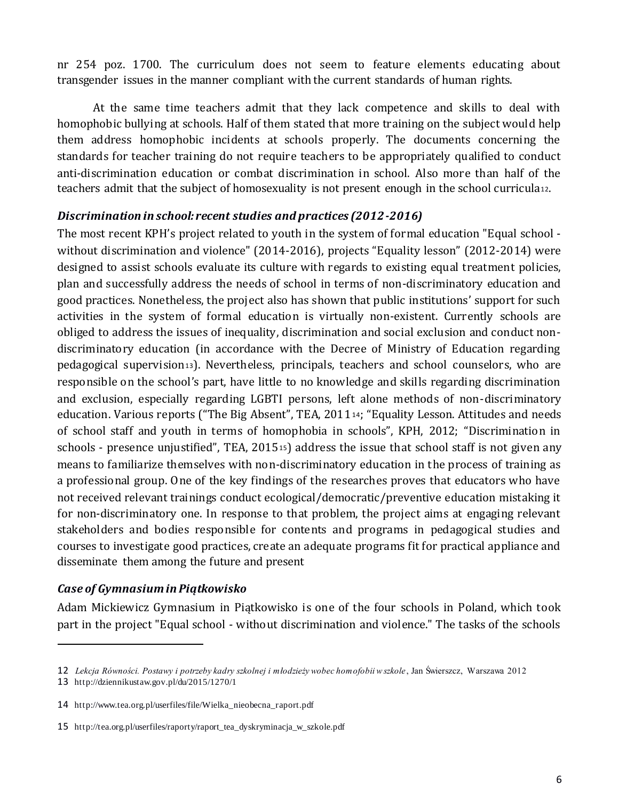nr 254 poz. 1700. The curriculum does not seem to feature elements educating about transgender issues in the manner compliant with the current standards of human rights.

At the same time teachers admit that they lack competence and skills to deal with homophobic bullying at schools. Half of them stated that more training on the subject would help them address homophobic incidents at schools properly. The documents concerning the standards for teacher training do not require teachers to be appropriately qualified to conduct anti-discrimination education or combat discrimination in school. Also more than half of the teachers admit that the subject of homosexuality is not present enough in the school curricula12.

#### *Discrimination in school: recent studies and practices (2012-2016)*

The most recent KPH's project related to youth in the system of formal education "Equal school without discrimination and violence" (2014-2016), projects "Equality lesson" (2012-2014) were designed to assist schools evaluate its culture with regards to existing equal treatment policies, plan and successfully address the needs of school in terms of non-discriminatory education and good practices. Nonetheless, the project also has shown that public institutions' support for such activities in the system of formal education is virtually non-existent. Currently schools are obliged to address the issues of inequality, discrimination and social exclusion and conduct nondiscriminatory education (in accordance with the Decree of Ministry of Education regarding pedagogical supervision13). Nevertheless, principals, teachers and school counselors, who are responsible on the school's part, have little to no knowledge and skills regarding discrimination and exclusion, especially regarding LGBTI persons, left alone methods of non-discriminatory education. Various reports ("The Big Absent", TEA, 201114; "Equality Lesson. Attitudes and needs of school staff and youth in terms of homophobia in schools", KPH, 2012; "Discrimination in schools - presence unjustified", TEA, 2015<sup>15</sup>) address the issue that school staff is not given any means to familiarize themselves with non-discriminatory education in the process of training as a professional group. One of the key findings of the researches proves that educators who have not received relevant trainings conduct ecological/democratic/preventive education mistaking it for non-discriminatory one. In response to that problem, the project aims at engaging relevant stakeholders and bodies responsible for contents and programs in pedagogical studies and courses to investigate good practices, create an adequate programs fit for practical appliance and disseminate them among the future and present

#### *Case of Gymnasium in Piątkowisko*

Adam Mickiewicz Gymnasium in Piątkowisko is one of the four schools in Poland, which took part in the project "Equal school - without discrimination and violence." The tasks of the schools

1

<sup>12</sup> *Lekcja Równości. Postawy i potrzeby kadry szkolnej i młodzieży wobec homofobii w szkole*, Jan Świerszcz, Warszawa 2012

<sup>13</sup> http://dziennikustaw.gov.pl/du/2015/1270/1

<sup>14</sup> http://www.tea.org.pl/userfiles/file/Wielka\_nieobecna\_raport.pdf

<sup>15</sup> http://tea.org.pl/userfiles/raporty/raport\_tea\_dyskryminacja\_w\_szkole.pdf